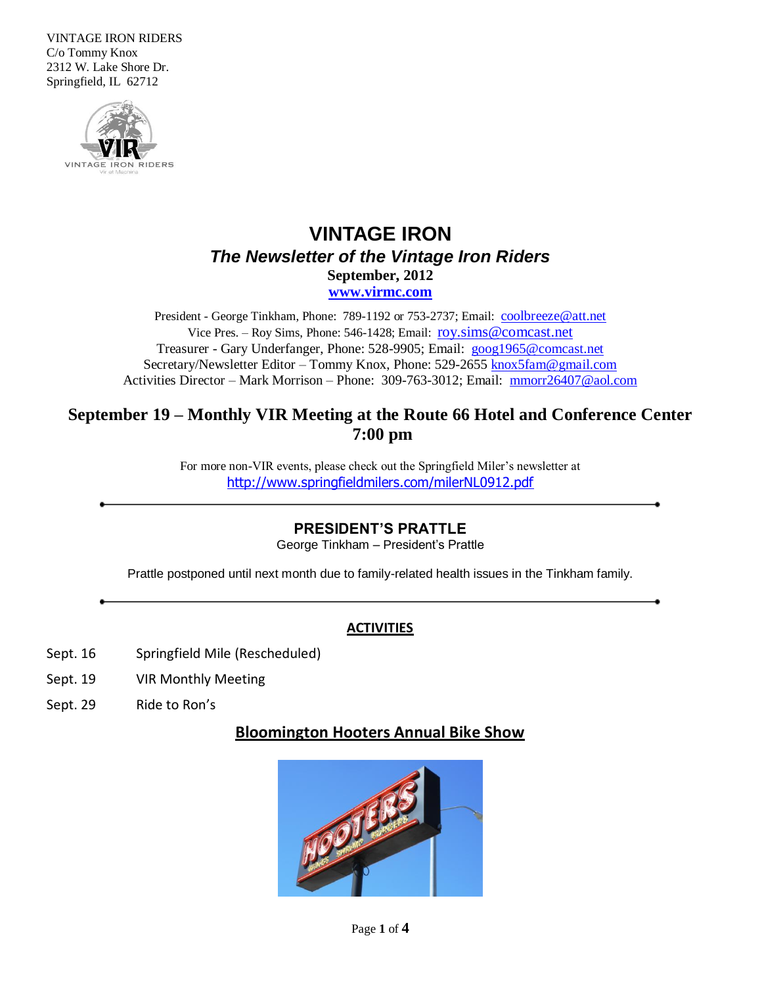VINTAGE IRON RIDERS C/o Tommy Knox 2312 W. Lake Shore Dr. Springfield, IL 62712



# **VINTAGE IRON** *The Newsletter of the Vintage Iron Riders* **September, 2012 [www.virmc.com](http://www.virmc.com/)**

President - George Tinkham, Phone: 789-1192 or 753-2737; Email: [coolbreeze@att.net](mailto:coolbreeze@att.net) Vice Pres. – Roy Sims, Phone: 546-1428; Email: [roy.sims@comcast.net](mailto:roy.sims@comcast.net) Treasurer - Gary Underfanger, Phone: 528-9905; Email: [goog1965@comcast.net](mailto:goog1965@comcast.net) Secretary/Newsletter Editor – Tommy Knox, Phone: 529-2655 [knox5fam@gmail.com](mailto:knox5fam@gmail.com) Activities Director – Mark Morrison – Phone: 309-763-3012; Email: [mmorr26407@aol.com](mailto:mmorr26407@aol.com)

### **September 19 – Monthly VIR Meeting at the Route 66 Hotel and Conference Center 7:00 pm**

For more non-VIR events, please check out the Springfield Miler's newsletter at <http://www.springfieldmilers.com/milerNL0912.pdf>

### **PRESIDENT'S PRATTLE**

George Tinkham – President's Prattle

Prattle postponed until next month due to family-related health issues in the Tinkham family.

### **ACTIVITIES**

- Sept. 16 Springfield Mile (Rescheduled)
- Sept. 19 VIR Monthly Meeting
- Sept. 29 Ride to Ron's

### **Bloomington Hooters Annual Bike Show**

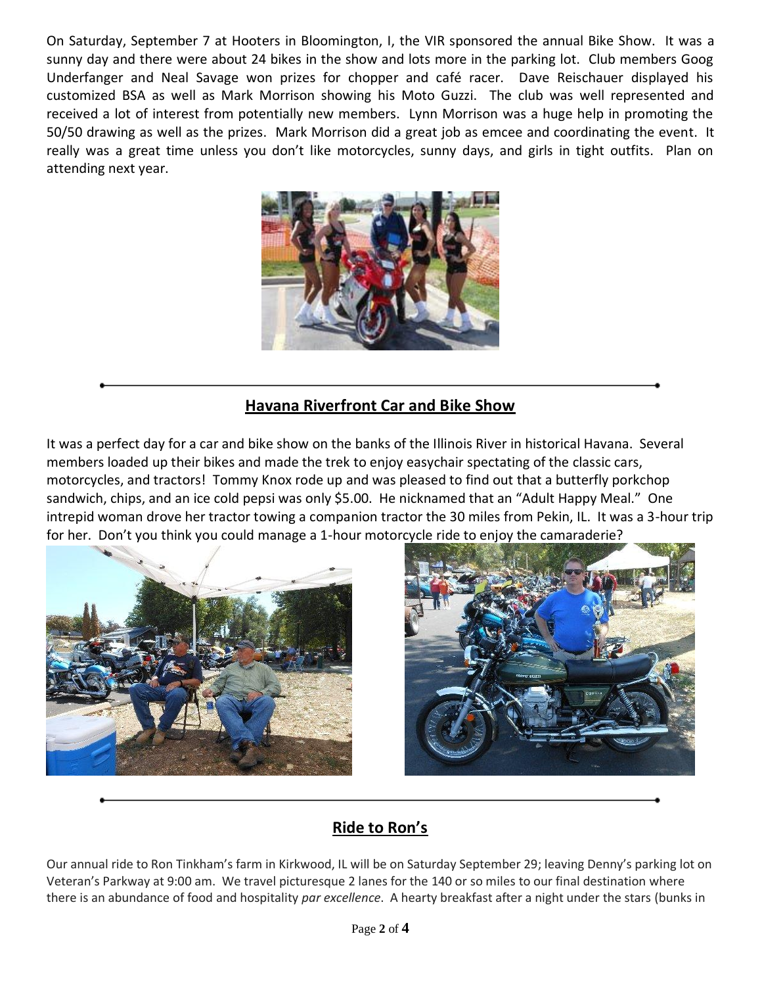On Saturday, September 7 at Hooters in Bloomington, I, the VIR sponsored the annual Bike Show. It was a sunny day and there were about 24 bikes in the show and lots more in the parking lot. Club members Goog Underfanger and Neal Savage won prizes for chopper and café racer. Dave Reischauer displayed his customized BSA as well as Mark Morrison showing his Moto Guzzi. The club was well represented and received a lot of interest from potentially new members. Lynn Morrison was a huge help in promoting the 50/50 drawing as well as the prizes. Mark Morrison did a great job as emcee and coordinating the event. It really was a great time unless you don't like motorcycles, sunny days, and girls in tight outfits. Plan on attending next year.



## **Havana Riverfront Car and Bike Show**

It was a perfect day for a car and bike show on the banks of the Illinois River in historical Havana. Several members loaded up their bikes and made the trek to enjoy easychair spectating of the classic cars, motorcycles, and tractors! Tommy Knox rode up and was pleased to find out that a butterfly porkchop sandwich, chips, and an ice cold pepsi was only \$5.00. He nicknamed that an "Adult Happy Meal." One intrepid woman drove her tractor towing a companion tractor the 30 miles from Pekin, IL. It was a 3-hour trip for her. Don't you think you could manage a 1-hour motorcycle ride to enjoy the camaraderie?





# **Ride to Ron's**

Our annual ride to Ron Tinkham's farm in Kirkwood, IL will be on Saturday September 29; leaving Denny's parking lot on Veteran's Parkway at 9:00 am. We travel picturesque 2 lanes for the 140 or so miles to our final destination where there is an abundance of food and hospitality *par excellence*. A hearty breakfast after a night under the stars (bunks in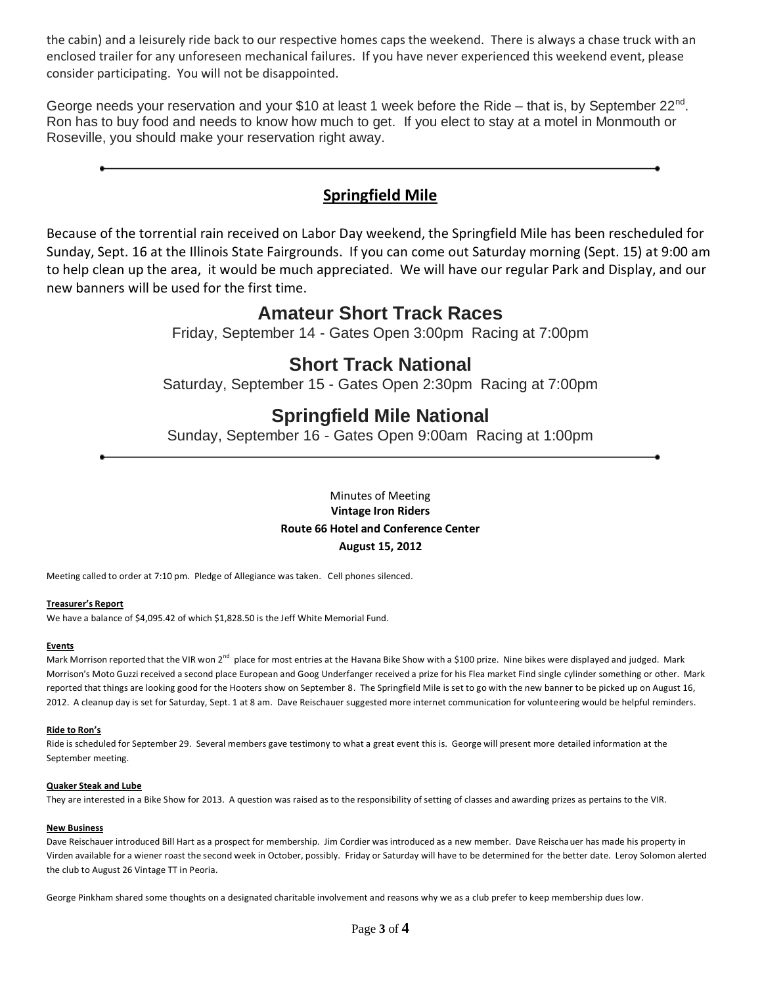the cabin) and a leisurely ride back to our respective homes caps the weekend. There is always a chase truck with an enclosed trailer for any unforeseen mechanical failures. If you have never experienced this weekend event, please consider participating. You will not be disappointed.

George needs your reservation and your \$10 at least 1 week before the Ride - that is, by September 22<sup>nd</sup>. Ron has to buy food and needs to know how much to get. If you elect to stay at a motel in Monmouth or Roseville, you should make your reservation right away.

### **Springfield Mile**

Because of the torrential rain received on Labor Day weekend, the Springfield Mile has been rescheduled for Sunday, Sept. 16 at the Illinois State Fairgrounds. If you can come out Saturday morning (Sept. 15) at 9:00 am to help clean up the area, it would be much appreciated. We will have our regular Park and Display, and our new banners will be used for the first time.

## **Amateur Short Track Races**

Friday, September 14 - Gates Open 3:00pm Racing at 7:00pm

# **Short Track National**

Saturday, September 15 - Gates Open 2:30pm Racing at 7:00pm

# **Springfield Mile National**

Sunday, September 16 - Gates Open 9:00am Racing at 1:00pm

Minutes of Meeting **Vintage Iron Riders Route 66 Hotel and Conference Center August 15, 2012**

Meeting called to order at 7:10 pm. Pledge of Allegiance was taken. Cell phones silenced.

#### **Treasurer's Report**

We have a balance of \$4,095.42 of which \$1,828.50 is the Jeff White Memorial Fund.

#### **Events**

Mark Morrison reported that the VIR won 2<sup>nd</sup> place for most entries at the Havana Bike Show with a \$100 prize. Nine bikes were displayed and judged. Mark Morrison's Moto Guzzi received a second place European and Goog Underfanger received a prize for his Flea market Find single cylinder something or other. Mark reported that things are looking good for the Hooters show on September 8. The Springfield Mile is set to go with the new banner to be picked up on August 16, 2012. A cleanup day is set for Saturday, Sept. 1 at 8 am. Dave Reischauer suggested more internet communication for volunteering would be helpful reminders.

#### **Ride to Ron's**

Ride is scheduled for September 29. Several members gave testimony to what a great event this is. George will present more detailed information at the September meeting.

#### **Quaker Steak and Lube**

They are interested in a Bike Show for 2013. A question was raised as to the responsibility of setting of classes and awarding prizes as pertains to the VIR.

#### **New Business**

Dave Reischauer introduced Bill Hart as a prospect for membership. Jim Cordier was introduced as a new member. Dave Reischauer has made his property in Virden available for a wiener roast the second week in October, possibly. Friday or Saturday will have to be determined for the better date. Leroy Solomon alerted the club to August 26 Vintage TT in Peoria.

George Pinkham shared some thoughts on a designated charitable involvement and reasons why we as a club prefer to keep membership dues low.